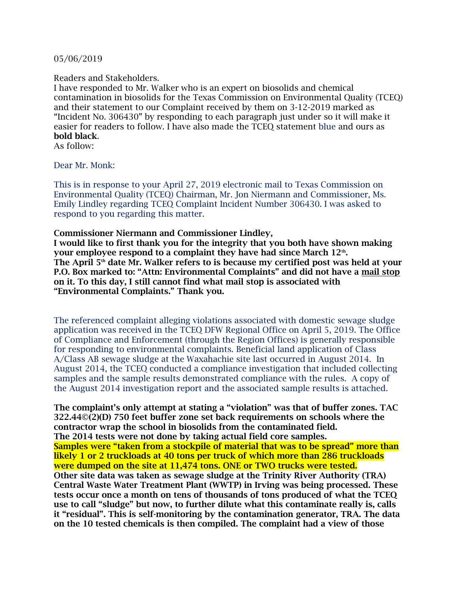05/06/2019

## Readers and Stakeholders.

I have responded to Mr. Walker who is an expert on biosolids and chemical contamination in biosolids for the Texas Commission on Environmental Quality (TCEQ) and their statement to our Complaint received by them on 3-12-2019 marked as "Incident No. 306430" by responding to each paragraph just under so it will make it easier for readers to follow. I have also made the TCEQ statement blue and ours as bold black.

As follow:

Dear Mr. Monk:

This is in response to your April 27, 2019 electronic mail to Texas Commission on Environmental Quality (TCEQ) Chairman, Mr. Jon Niermann and Commissioner, Ms. Emily Lindley regarding TCEQ Complaint Incident Number 306430. I was asked to respond to you regarding this matter.

## Commissioner Niermann and Commissioner Lindley,

I would like to first thank you for the integrity that you both have shown making your employee respond to a complaint they have had since March  $12<sup>th</sup>$ . The April  $5<sup>th</sup>$  date Mr. Walker refers to is because my certified post was held at your P.O. Box marked to: "Attn: Environmental Complaints" and did not have a mail stop on it. To this day, I still cannot find what mail stop is associated with "Environmental Complaints." Thank you.

The referenced complaint alleging violations associated with domestic sewage sludge application was received in the TCEQ DFW Regional Office on April 5, 2019. The Office of Compliance and Enforcement (through the Region Offices) is generally responsible for responding to environmental complaints. Beneficial land application of Class A/Class AB sewage sludge at the Waxahachie site last occurred in August 2014. In August 2014, the TCEQ conducted a compliance investigation that included collecting samples and the sample results demonstrated compliance with the rules. A copy of the August 2014 investigation report and the associated sample results is attached.

The complaint's only attempt at stating a "violation" was that of buffer zones. TAC 322.44©(2)(D) 750 feet buffer zone set back requirements on schools where the contractor wrap the school in biosolids from the contaminated field. The 2014 tests were not done by taking actual field core samples. Samples were "taken from a stockpile of material that was to be spread" more than likely 1 or 2 truckloads at 40 tons per truck of which more than 286 truckloads were dumped on the site at 11,474 tons. ONE or TWO trucks were tested. Other site data was taken as sewage sludge at the Trinity River Authority (TRA) Central Waste Water Treatment Plant (WWTP) in Irving was being processed. These tests occur once a month on tens of thousands of tons produced of what the TCEQ use to call "sludge" but now, to further dilute what this contaminate really is, calls it "residual". This is self-monitoring by the contamination generator, TRA. The data on the 10 tested chemicals is then compiled. The complaint had a view of those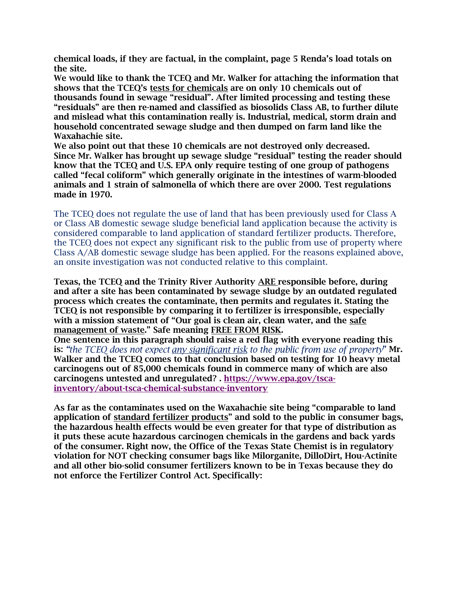chemical loads, if they are factual, in the complaint, page 5 Renda's load totals on the site.

We would like to thank the TCEQ and Mr. Walker for attaching the information that shows that the TCEQ's tests for chemicals are on only 10 chemicals out of thousands found in sewage "residual". After limited processing and testing these "residuals" are then re-named and classified as biosolids Class AB, to further dilute and mislead what this contamination really is. Industrial, medical, storm drain and household concentrated sewage sludge and then dumped on farm land like the Waxahachie site.

We also point out that these 10 chemicals are not destroyed only decreased. Since Mr. Walker has brought up sewage sludge "residual" testing the reader should know that the TCEQ and U.S. EPA only require testing of one group of pathogens called "fecal coliform" which generally originate in the intestines of warm-blooded animals and 1 strain of salmonella of which there are over 2000. Test regulations made in 1970.

The TCEQ does not regulate the use of land that has been previously used for Class A or Class AB domestic sewage sludge beneficial land application because the activity is considered comparable to land application of standard fertilizer products. Therefore, the TCEQ does not expect any significant risk to the public from use of property where Class A/AB domestic sewage sludge has been applied. For the reasons explained above, an onsite investigation was not conducted relative to this complaint.

Texas, the TCEQ and the Trinity River Authority ARE responsible before, during and after a site has been contaminated by sewage sludge by an outdated regulated process which creates the contaminate, then permits and regulates it. Stating the TCEQ is not responsible by comparing it to fertilizer is irresponsible, especially with a mission statement of "Our goal is clean air, clean water, and the safe management of waste." Safe meaning FREE FROM RISK.

One sentence in this paragraph should raise a red flag with everyone reading this is: "the TCEQ does not expect <u>any significant risk</u> to the public from use of property" Mr. Walker and the TCEQ comes to that conclusion based on testing for 10 heavy metal carcinogens out of 85,000 chemicals found in commerce many of which are also carcinogens untested and unregulated? . [https://www.epa.gov/tsca](https://www.epa.gov/tsca-inventory/about-tsca-chemical-substance-inventory)[inventory/about-tsca-chemical-substance-inventory](https://www.epa.gov/tsca-inventory/about-tsca-chemical-substance-inventory)

As far as the contaminates used on the Waxahachie site being "comparable to land application of standard fertilizer products" and sold to the public in consumer bags, the hazardous health effects would be even greater for that type of distribution as it puts these acute hazardous carcinogen chemicals in the gardens and back yards of the consumer. Right now, the Office of the Texas State Chemist is in regulatory violation for NOT checking consumer bags like Milorganite, DilloDirt, Hou-Actinite and all other bio-solid consumer fertilizers known to be in Texas because they do not enforce the Fertilizer Control Act. Specifically: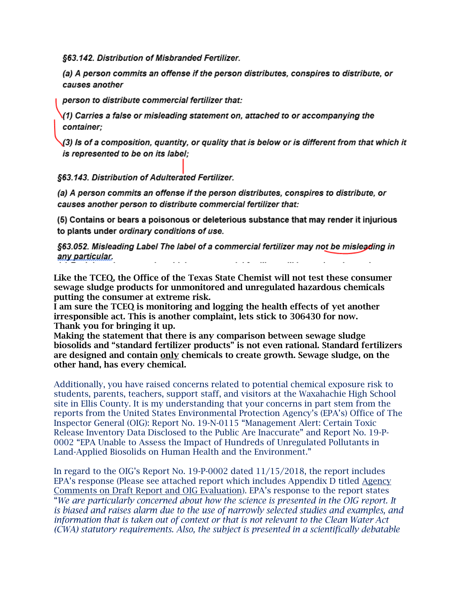§63.142. Distribution of Misbranded Fertilizer.

(a) A person commits an offense if the person distributes, conspires to distribute, or causes another

person to distribute commercial fertilizer that:

(1) Carries a false or misleading statement on, attached to or accompanying the container:

(3) Is of a composition, quantity, or quality that is below or is different from that which it is represented to be on its label:

\$63.143. Distribution of Adulterated Fertilizer.

(a) A person commits an offense if the person distributes, conspires to distribute, or causes another person to distribute commercial fertilizer that:

(5) Contains or bears a poisonous or deleterious substance that may render it injurious to plants under ordinary conditions of use.

§63.052. Misleading Label The label of a commercial fertilizer may not be misleading in <u>any particular</u>  $\cdots$  $\cdots$ 

Like the TCEQ, the Office of the Texas State Chemist will not test these consumer sewage sludge products for unmonitored and unregulated hazardous chemicals putting the consumer at extreme risk.

I am sure the TCEQ is monitoring and logging the health effects of yet another irresponsible act. This is another complaint, lets stick to 306430 for now. Thank you for bringing it up.

Making the statement that there is any comparison between sewage sludge biosolids and "standard fertilizer products" is not even rational. Standard fertilizers are designed and contain only chemicals to create growth. Sewage sludge, on the other hand, has every chemical.

Additionally, you have raised concerns related to potential chemical exposure risk to students, parents, teachers, support staff, and visitors at the Waxahachie High School site in Ellis County. It is my understanding that your concerns in part stem from the reports from the United States Environmental Protection Agency's (EPA's) Office of The Inspector General (OIG): Report No. 19-N-0115 "Management Alert: Certain Toxic Release Inventory Data Disclosed to the Public Are Inaccurate" and Report No. 19-P-0002 "EPA Unable to Assess the Impact of Hundreds of Unregulated Pollutants in Land-Applied Biosolids on Human Health and the Environment."

In regard to the OIG's Report No. 19-P-0002 dated 11/15/2018, the report includes EPA's response (Please see attached report which includes Appendix D titled Agency Comments on Draft Report and OIG Evaluation). EPA's response to the report states "We are particularly concerned about how the science is presented in the OIG report. It is biased and raises alarm due to the use of narrowly selected studies and examples, and information that is taken out of context or that is not relevant to the Clean Water Act (CWA) statutory requirements. Also, the subject is presented in a scientifically debatable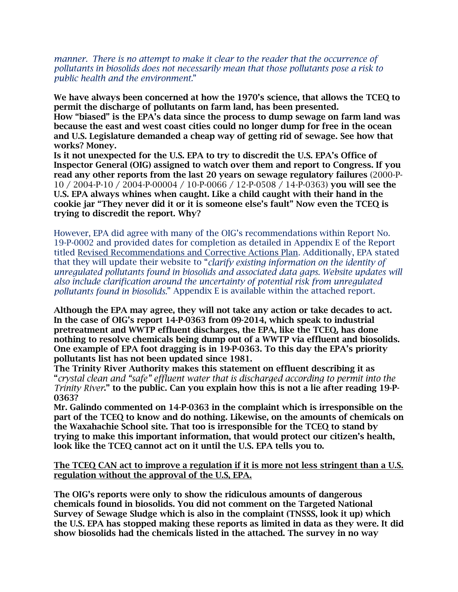manner. There is no attempt to make it clear to the reader that the occurrence of pollutants in biosolids does not necessarily mean that those pollutants pose a risk to public health and the environment."

We have always been concerned at how the 1970's science, that allows the TCEQ to permit the discharge of pollutants on farm land, has been presented. How "biased" is the EPA's data since the process to dump sewage on farm land was because the east and west coast cities could no longer dump for free in the ocean and U.S. Legislature demanded a cheap way of getting rid of sewage. See how that works? Money.

Is it not unexpected for the U.S. EPA to try to discredit the U.S. EPA's Office of Inspector General (OIG) assigned to watch over them and report to Congress. If you read any other reports from the last 20 years on sewage regulatory failures (2000-P-10 / 2004-P-10 / 2004-P-00004 / 10-P-0066 / 12-P-0508 / 14-P-0363) you will see the U.S. EPA always whines when caught. Like a child caught with their hand in the cookie jar "They never did it or it is someone else's fault" Now even the TCEQ is trying to discredit the report. Why?

However, EPA did agree with many of the OIG's recommendations within Report No. 19-P-0002 and provided dates for completion as detailed in Appendix E of the Report titled Revised Recommendations and Corrective Actions Plan. Additionally, EPA stated that they will update their website to "clarify existing information on the identity of unrequlated pollutants found in biosolids and associated data gaps. Website updates will also include clarification around the uncertainty of potential risk from unregulated pollutants found in biosolids." Appendix E is available within the attached report.

Although the EPA may agree, they will not take any action or take decades to act. In the case of OIG's report 14-P-0363 from 09-2014, which speak to industrial pretreatment and WWTP effluent discharges, the EPA, like the TCEQ, has done nothing to resolve chemicals being dump out of a WWTP via effluent and biosolids. One example of EPA foot dragging is in 19-P-0363. To this day the EPA's priority pollutants list has not been updated since 1981.

The Trinity River Authority makes this statement on effluent describing it as "crystal clean and "safe" effluent water that is discharged according to permit into the Trinity River." to the public. Can you explain how this is not a lie after reading 19-P-0363?

Mr. Galindo commented on 14-P-0363 in the complaint which is irresponsible on the part of the TCEQ to know and do nothing. Likewise, on the amounts of chemicals on the Waxahachie School site. That too is irresponsible for the TCEQ to stand by trying to make this important information, that would protect our citizen's health, look like the TCEQ cannot act on it until the U.S. EPA tells you to.

## The TCEQ CAN act to improve a regulation if it is more not less stringent than a U.S. regulation without the approval of the U.S, EPA.

The OIG's reports were only to show the ridiculous amounts of dangerous chemicals found in biosolids. You did not comment on the Targeted National Survey of Sewage Sludge which is also in the complaint (TNSSS, look it up) which the U.S. EPA has stopped making these reports as limited in data as they were. It did show biosolids had the chemicals listed in the attached. The survey in no way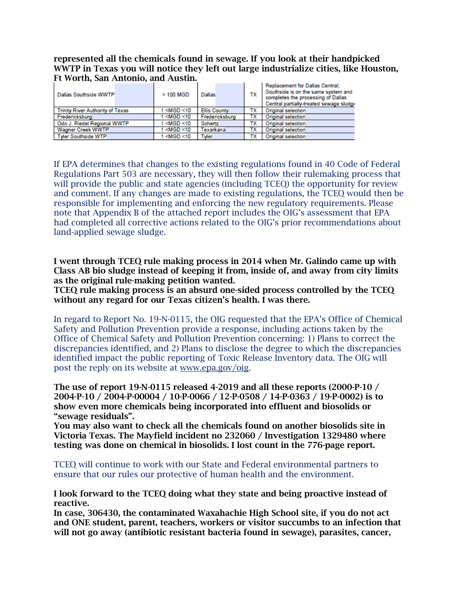represented all the chemicals found in sewage. If you look at their handpicked WWTP in Texas you will notice they left out large industrialize cities, like Houston, Ft Worth, San Antonio, and Austin.

| Dallas Southside WWTP            | $>100$ MGD                                                                                    | <b>Dallas</b>       | тх | <b>Replacement for Dallas Central:</b><br>Southside is on the same system and<br>completes the processing of Dallas<br>Central partially-treated sewage sludge |
|----------------------------------|-----------------------------------------------------------------------------------------------|---------------------|----|----------------------------------------------------------------------------------------------------------------------------------------------------------------|
| Trinity River Authority of Texas | 1 <mgd <10<="" td=""><td><b>Ellis County</b></td><td>тχ</td><td>Original selection</td></mgd> | <b>Ellis County</b> | тχ | Original selection                                                                                                                                             |
| Fredericksburg                   | $<$ MGD $<$ 10                                                                                | Fredericksburg      | тх | <b>Original selection</b>                                                                                                                                      |
| Odo J. Riedel Regional WWTP      | $<$ MGD $<$ 10                                                                                | Schertz             | тχ | Original selection                                                                                                                                             |
| <b>Wagner Creek WWTP</b>         | $<$ MGD $<$ 10                                                                                | Texarkana           | тх | Original selection                                                                                                                                             |
| Tyler Southside WTP              | 1 <mgd <10<="" td=""><td>Tyler</td><td>тχ</td><td>Original selection</td></mgd>               | Tyler               | тχ | Original selection                                                                                                                                             |

If EPA determines that changes to the existing regulations found in 40 Code of Federal Regulations Part 503 are necessary, they will then follow their rulemaking process that will provide the public and state agencies (including TCEQ) the opportunity for review and comment. If any changes are made to existing regulations, the TCEQ would then be responsible for implementing and enforcing the new regulatory requirements. Please note that Appendix B of the attached report includes the OIG's assessment that EPA had completed all corrective actions related to the OIG's prior recommendations about land-applied sewage sludge.

I went through TCEQ rule making process in 2014 when Mr. Galindo came up with Class AB bio sludge instead of keeping it from, inside of, and away from city limits as the original rule-making petition wanted.

TCEQ rule making process is an absurd one-sided process controlled by the TCEQ without any regard for our Texas citizen's health. I was there.

In regard to Report No. 19-N-0115, the OIG requested that the EPA's Office of Chemical Safety and Pollution Prevention provide a response, including actions taken by the Office of Chemical Safety and Pollution Prevention concerning: 1) Plans to correct the discrepancies identified, and 2) Plans to disclose the degree to which the discrepancies identified impact the public reporting of Toxic Release Inventory data. The OIG will post the reply on its website at [www.epa.gov/oig.](http://www.epa.gov/oig)

The use of report 19-N-0115 released 4-2019 and all these reports (2000-P-10 / 2004-P-10 / 2004-P-00004 / 10-P-0066 / 12-P-0508 / 14-P-0363 / 19-P-0002) is to show even more chemicals being incorporated into effluent and biosolids or "sewage residuals".

You may also want to check all the chemicals found on another biosolids site in Victoria Texas. The Mayfield incident no 232060 / Investigation 1329480 where testing was done on chemical in biosolids. I lost count in the 776-page report.

TCEQ will continue to work with our State and Federal environmental partners to ensure that our rules our protective of human health and the environment.

I look forward to the TCEQ doing what they state and being proactive instead of reactive.

In case, 306430, the contaminated Waxahachie High School site, if you do not act and ONE student, parent, teachers, workers or visitor succumbs to an infection that will not go away (antibiotic resistant bacteria found in sewage), parasites, cancer,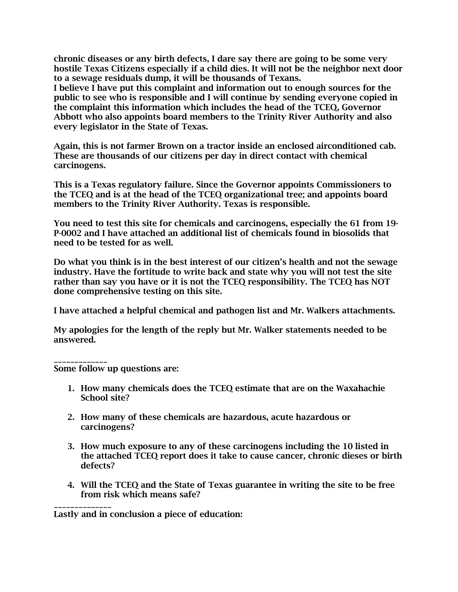chronic diseases or any birth defects, I dare say there are going to be some very hostile Texas Citizens especially if a child dies. It will not be the neighbor next door to a sewage residuals dump, it will be thousands of Texans.

I believe I have put this complaint and information out to enough sources for the public to see who is responsible and I will continue by sending everyone copied in the complaint this information which includes the head of the TCEQ, Governor Abbott who also appoints board members to the Trinity River Authority and also every legislator in the State of Texas.

Again, this is not farmer Brown on a tractor inside an enclosed airconditioned cab. These are thousands of our citizens per day in direct contact with chemical carcinogens.

This is a Texas regulatory failure. Since the Governor appoints Commissioners to the TCEQ and is at the head of the TCEQ organizational tree; and appoints board members to the Trinity River Authority. Texas is responsible.

You need to test this site for chemicals and carcinogens, especially the 61 from 19- P-0002 and I have attached an additional list of chemicals found in biosolids that need to be tested for as well.

Do what you think is in the best interest of our citizen's health and not the sewage industry. Have the fortitude to write back and state why you will not test the site rather than say you have or it is not the TCEQ responsibility. The TCEQ has NOT done comprehensive testing on this site.

I have attached a helpful chemical and pathogen list and Mr. Walkers attachments.

My apologies for the length of the reply but Mr. Walker statements needed to be answered.

\_\_\_\_\_\_\_\_\_\_\_\_\_ Some follow up questions are:

- 1. How many chemicals does the TCEQ estimate that are on the Waxahachie School site?
- 2. How many of these chemicals are hazardous, acute hazardous or carcinogens?
- 3. How much exposure to any of these carcinogens including the 10 listed in the attached TCEQ report does it take to cause cancer, chronic dieses or birth defects?
- 4. Will the TCEQ and the State of Texas guarantee in writing the site to be free from risk which means safe?

\_\_\_\_\_\_\_\_\_\_\_\_\_\_ Lastly and in conclusion a piece of education: